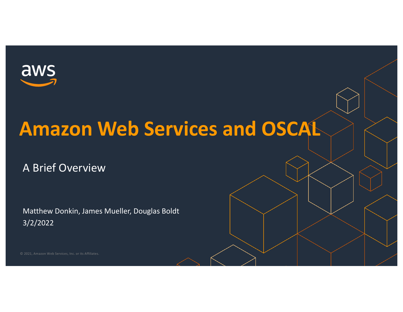

## **Amazon Web Services and OSCAL**

A Brief Overview

Matthew Donkin, James Mueller, Douglas Boldt 3/2/2022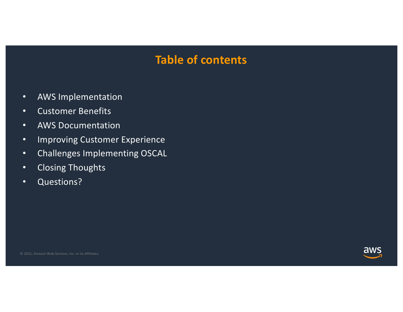### **Table of contents**

- AWS Implementation
- Customer Benefits
- AWS Documentation
- Improving Customer Experience
- Challenges Implementing OSCAL
- Closing Thoughts
- Questions?

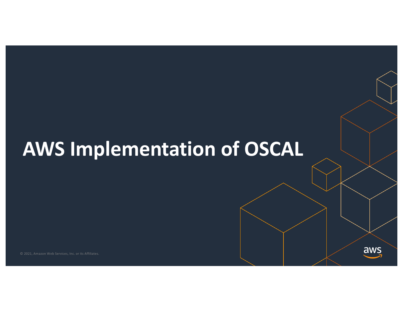# **AWS Implementation of OSCAL**

aws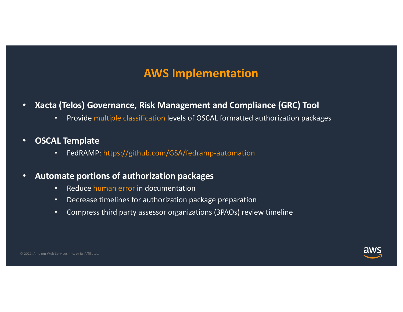### **AWS Implementation**

- **Xacta (Telos) Governance, Risk Management and Compliance (GRC) Tool**
	- Provide multiple classification levels of OSCAL formatted authorization packages
- **OSCAL Template**
	- FedRAMP: https://github.com/GSA/fedramp-automation

#### • **Automate portions of authorization packages**

- Reduce human error in documentation
- Decrease timelines for authorization package preparation
- Compress third party assessor organizations (3PAOs) review timeline

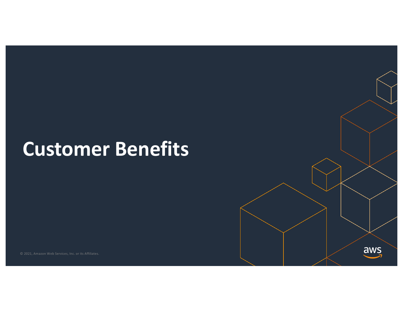## **Customer Benefits**

aws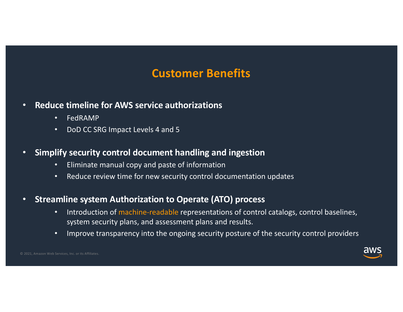### **Customer Benefits**

- **Reduce timeline for AWS service authorizations**
	- FedRAMP
	- DoD CC SRG Impact Levels 4 and 5
- **Simplify security control document handling and ingestion** 
	- Eliminate manual copy and paste of information
	- Reduce review time for new security control documentation updates
- **Streamline system Authorization to Operate (ATO) process**
	- Introduction of machine-readable representations of control catalogs, control baselines, system security plans, and assessment plans and results.
	- Improve transparency into the ongoing security posture of the security control providers

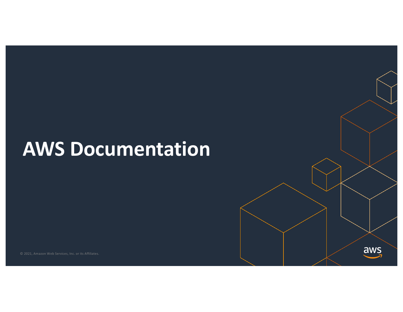## **AWS Documentation**

aws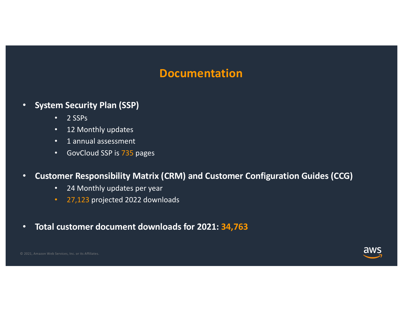#### **Documentation**

- **System Security Plan (SSP)**
	- $\cdot$  2 SSPs
	- 12 Monthly updates
	- 1 annual assessment
	- GovCloud SSP is 735 pages
- **Customer Responsibility Matrix (CRM) and Customer Configuration Guides (CCG)**
	- 24 Monthly updates per year
	- 27,123 projected 2022 downloads
- **Total customer document downloads for 2021: 34,763**

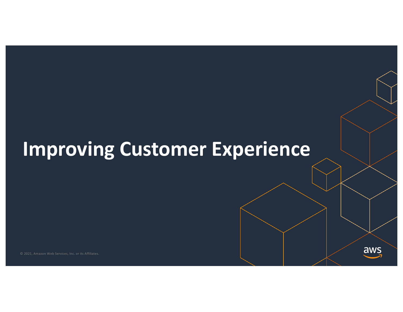## **Improving Customer Experience**

aws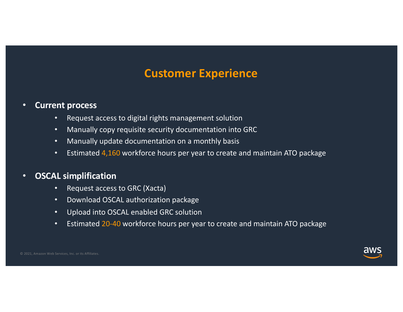### **Customer Experience**

#### • **Current process**

- Request access to digital rights management solution
- Manually copy requisite security documentation into GRC
- Manually update documentation on a monthly basis
- Estimated 4,160 workforce hours per year to create and maintain ATO package

#### • **OSCAL simplification**

- Request access to GRC (Xacta)
- Download OSCAL authorization package
- Upload into OSCAL enabled GRC solution
- Estimated 20-40 workforce hours per year to create and maintain ATO package

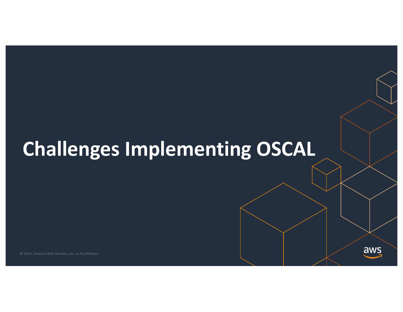# **Challenges Implementing OSCAL**

aws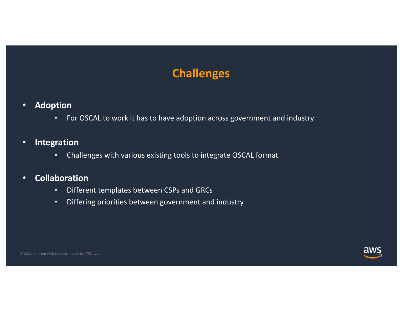### **Challenges**

- **Adoption**
	- For OSCAL to work it has to have adoption across government and industry
- **Integration**
	- Challenges with various existing tools to integrate OSCAL format
- **Collaboration**
	- Different templates between CSPs and GRCs
	- Differing priorities between government and industry

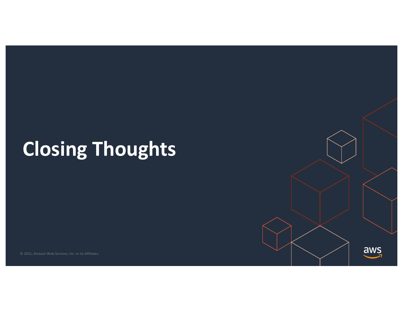# **Closing Thoughts**

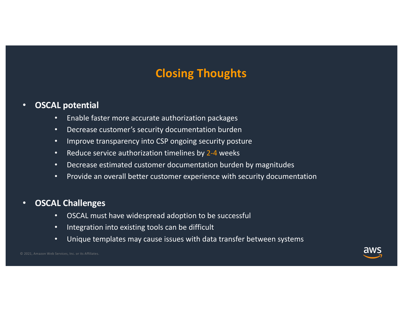### **Closing Thoughts**

#### • **OSCAL potential**

- Enable faster more accurate authorization packages
- Decrease customer's security documentation burden
- Improve transparency into CSP ongoing security posture
- Reduce service authorization timelines by 2-4 weeks
- Decrease estimated customer documentation burden by magnitudes
- Provide an overall better customer experience with security documentation

#### • **OSCAL Challenges**

- OSCAL must have widespread adoption to be successful
- Integration into existing tools can be difficult
- Unique templates may cause issues with data transfer between systems